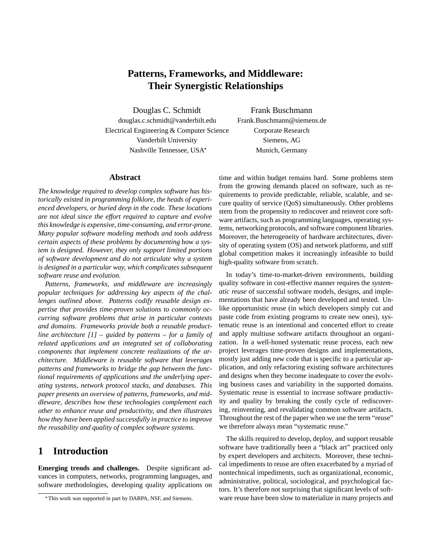# **Patterns, Frameworks, and Middleware: Their Synergistic Relationships**

Douglas C. Schmidt Frank Buschmann douglas.c.schmidt@vanderbilt.edu Frank.Buschmann@siemens.de Electrical Engineering & Computer Science Corporate Research Vanderbilt University Siemens, AG Nashville Tennessee, USA

Munich, Germany

#### **Abstract**

*The knowledge required to develop complex software has historically existed in programming folklore, the heads of experienced developers, or buried deep in the code. These locations are not ideal since the effort required to capture and evolve this knowledge is expensive, time-consuming, and error-prone. Many popular software modeling methods and tools address certain aspects of these problems by documenting* how *a system is designed. However, they only support limited portions of software development and do not articulate* why *a system is designed in a particular way, which complicates subsequent software reuse and evolution.*

*Patterns, frameworks, and middleware are increasingly popular techniques for addressing key aspects of the challenges outlined above. Patterns codify reusable design expertise that provides time-proven solutions to commonly occurring software problems that arise in particular contexts and domains. Frameworks provide both a reusable productline architecture [1] – guided by patterns – for a family of related applications and an integrated set of collaborating components that implement concrete realizations of the architecture. Middleware is reusable software that leverages patterns and frameworks to bridge the gap between the functional requirements of applications and the underlying operating systems, network protocol stacks, and databases. This paper presents an overview of patterns, frameworks, and middleware, describes how these technologies complement each other to enhance reuse and productivity, and then illustrates how they have been applied successfully in practice to improve the reusability and quality of complex software systems.*

### **1 Introduction**

**Emerging trends and challenges.** Despite significant advances in computers, networks, programming languages, and software methodologies, developing quality applications on

time and within budget remains hard. Some problems stem from the growing demands placed on software, such as requirements to provide predictable, reliable, scalable, and secure quality of service (QoS) simultaneously. Other problems stem from the propensity to rediscover and reinvent core software artifacts, such as programming languages, operating systems, networking protocols, and software component libraries. Moreover, the heterogeneity of hardware architectures, diversity of operating system (OS) and network platforms, and stiff global competition makes it increasingly infeasible to build high-quality software from scratch.

In today's time-to-market-driven environments, building quality software in cost-effective manner requires the *systematic reuse* of successful software models, designs, and implementations that have already been developed and tested. Unlike opportunistic reuse (in which developers simply cut and paste code from existing programs to create new ones), systematic reuse is an intentional and concerted effort to create and apply multiuse software artifacts throughout an organization. In a well-honed systematic reuse process, each new project leverages time-proven designs and implementations, mostly just adding new code that is specific to a particular application, and only refactoring existing software architectures and designs when they become inadequate to cover the evolving business cases and variability in the supported domains. Systematic reuse is essential to increase software productivity and quality by breaking the costly cycle of rediscovering, reinventing, and revalidating common software artifacts. Throughout the rest of the paper when we use the term "reuse" we therefore always mean "systematic reuse."

The skills required to develop, deploy, and support reusable software have traditionally been a "black art" practiced only by expert developers and architects. Moreover, these technical impediments to reuse are often exacerbated by a myriad of nontechnical impediments, such as organizational, economic, administrative, political, sociological, and psychological factors. It's therefore not surprising that significant levels of software reuse have been slow to materialize in many projects and

This work was supported in part by DARPA, NSF, and Siemens.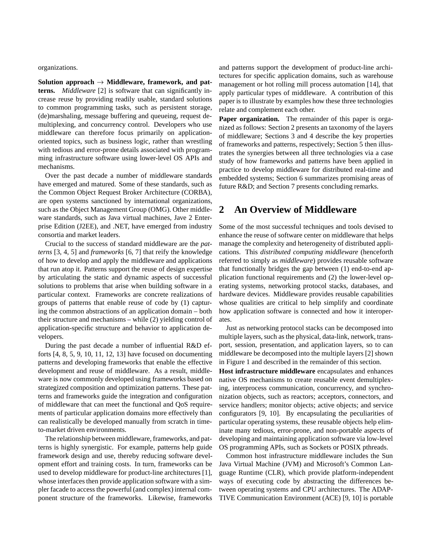organizations.

Solution approach  $\rightarrow$  Middleware, framework, and pat**terns.** *Middleware* [2] is software that can significantly increase reuse by providing readily usable, standard solutions to common programming tasks, such as persistent storage, (de)marshaling, message buffering and queueing, request demultiplexing, and concurrency control. Developers who use middleware can therefore focus primarily on applicationoriented topics, such as business logic, rather than wrestling with tedious and error-prone details associated with programming infrastructure software using lower-level OS APIs and mechanisms.

Over the past decade a number of middleware standards have emerged and matured. Some of these standards, such as the Common Object Request Broker Architecture (CORBA), are open systems sanctioned by international organizations, such as the Object Management Group (OMG). Other middleware standards, such as Java virtual machines, Jave 2 Enterprise Edition (J2EE), and .NET, have emerged from industry consortia and market leaders.

Crucial to the success of standard middleware are the *patterns* [3, 4, 5] and *frameworks* [6, 7] that reify the knowledge of how to develop and apply the middleware and applications that run atop it. Patterns support the reuse of design expertise by articulating the static and dynamic aspects of successful solutions to problems that arise when building software in a particular context. Frameworks are concrete realizations of groups of patterns that enable reuse of code by (1) capturing the common abstractions of an application domain – both their structure and mechanisms – while (2) yielding control of application-specific structure and behavior to application developers.

During the past decade a number of influential R&D efforts [4, 8, 5, 9, 10, 11, 12, 13] have focused on documenting patterns and developing frameworks that enable the effective development and reuse of middleware. As a result, middleware is now commonly developed using frameworks based on strategized composition and optimization patterns. These patterns and frameworks guide the integration and configuration of middleware that can meet the functional and QoS requirements of particular application domains more effectively than can realistically be developed manually from scratch in timeto-market driven environments.

The relationship between middleware, frameworks, and patterns is highly synergistic. For example, patterns help guide framework design and use, thereby reducing software development effort and training costs. In turn, frameworks can be used to develop middleware for product-line architectures [1], whose interfaces then provide application software with a simpler facade to access the powerful (and complex) internal component structure of the frameworks. Likewise, frameworks

and patterns support the development of product-line architectures for specific application domains, such as warehouse management or hot rolling mill process automation [14], that apply particular types of middleware. A contribution of this paper is to illustrate by examples how these three technologies relate and complement each other.

**Paper organization.** The remainder of this paper is organized as follows: Section 2 presents an taxonomy of the layers of middleware; Sections 3 and 4 describe the key properties of frameworks and patterns, respectively; Section 5 then illustrates the synergies between all three technologies via a case study of how frameworks and patterns have been applied in practice to develop middleware for distributed real-time and embedded systems; Section 6 summarizes promising areas of future R&D; and Section 7 presents concluding remarks.

### **2 An Overview of Middleware**

Some of the most successful techniques and tools devised to enhance the reuse of software center on middleware that helps manage the complexity and heterogeneity of distributed applications. This *distributed computing middleware* (henceforth referred to simply as *middleware*) provides reusable software that functionally bridges the gap between (1) end-to-end application functional requirements and (2) the lower-level operating systems, networking protocol stacks, databases, and hardware devices. Middleware provides reusable capabilities whose qualities are critical to help simplify and coordinate how application software is connected and how it interoperates.

Just as networking protocol stacks can be decomposed into multiple layers, such as the physical, data-link, network, transport, session, presentation, and application layers, so to can middleware be decomposed into the multiple layers [2] shown in Figure 1 and described in the remainder of this section.

**Host infrastructure middleware** encapsulates and enhances native OS mechanisms to create reusable event demultiplexing, interprocess communication, concurrency, and synchronization objects, such as reactors; acceptors, connectors, and service handlers; monitor objects; active objects; and service configurators [9, 10]. By encapsulating the peculiarities of particular operating systems, these reusable objects help eliminate many tedious, error-prone, and non-portable aspects of developing and maintaining application software via low-level OS programming APIs, such as Sockets or POSIX pthreads.

Common host infrastructure middleware includes the Sun Java Virtual Machine (JVM) and Microsoft's Common Language Runtime (CLR), which provide platform-independent ways of executing code by abstracting the differences between operating systems and CPU architectures. The ADAP-TIVE Communication Environment (ACE) [9, 10] is portable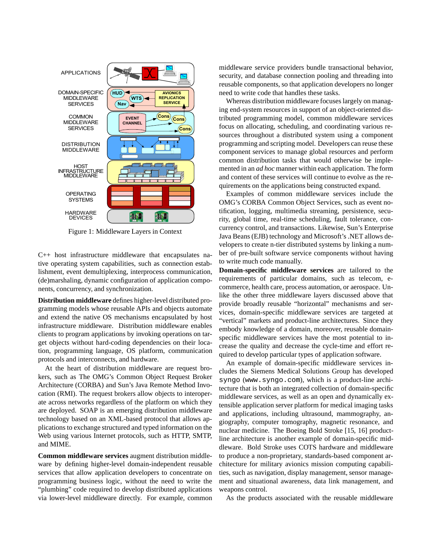

Figure 1: Middleware Layers in Context

C++ host infrastructure middleware that encapsulates native operating system capabilities, such as connection establishment, event demultiplexing, interprocess communication, (de)marshaling, dynamic configuration of application components, concurrency, and synchronization.

**Distribution middleware** defines higher-level distributed programming models whose reusable APIs and objects automate and extend the native OS mechanisms encapsulated by host infrastructure middleware. Distribution middleware enables clients to program applications by invoking operations on target objects without hard-coding dependencies on their location, programming language, OS platform, communication protocols and interconnects, and hardware.

At the heart of distribution middleware are request brokers, such as The OMG's Common Object Request Broker Architecture (CORBA) and Sun's Java Remote Method Invocation (RMI). The request brokers allow objects to interoperate across networks regardless of the platform on which they are deployed. SOAP is an emerging distribution middleware technology based on an XML-based protocol that allows applications to exchange structured and typed information on the Web using various Internet protocols, such as HTTP, SMTP, and MIME.

**Common middleware services** augment distribution middleware by defining higher-level domain-independent reusable services that allow application developers to concentrate on programming business logic, without the need to write the "plumbing" code required to develop distributed applications via lower-level middleware directly. For example, common

middleware service providers bundle transactional behavior, security, and database connection pooling and threading into reusable components, so that application developers no longer need to write code that handles these tasks.

Whereas distribution middleware focuses largely on managing end-system resources in support of an object-oriented distributed programming model, common middleware services focus on allocating, scheduling, and coordinating various resources throughout a distributed system using a component programming and scripting model. Developers can reuse these component services to manage global resources and perform common distribution tasks that would otherwise be implemented in an *ad hoc* manner within each application. The form and content of these services will continue to evolve as the requirements on the applications being constructed expand.

Examples of common middleware services include the OMG's CORBA Common Object Services, such as event notification, logging, multimedia streaming, persistence, security, global time, real-time scheduling, fault tolerance, concurrency control, and transactions. Likewise, Sun's Enterprise Java Beans (EJB) technology and Microsoft's .NET allows developers to create n-tier distributed systems by linking a number of pre-built software service components without having to write much code manually.

**Domain-specific middleware services** are tailored to the requirements of particular domains, such as telecom, ecommerce, health care, process automation, or aerospace. Unlike the other three middleware layers discussed above that provide broadly reusable "horizontal" mechanisms and services, domain-specific middleware services are targeted at "vertical" markets and product-line architectures. Since they embody knowledge of a domain, moreover, reusable domainspecific middleware services have the most potential to increase the quality and decrease the cycle-time and effort required to develop particular types of application software.

An example of domain-specific middleware services includes the Siemens Medical Solutions Group has developed syngo (www.syngo.com), which is a product-line architecture that is both an integrated collection of domain-specific middleware services, as well as an open and dynamically extensible application server platform for medical imaging tasks and applications, including ultrasound, mammography, angiography, computer tomography, magnetic resonance, and nuclear medicine. The Boeing Bold Stroke [15, 16] productline architecture is another example of domain-specific middleware. Bold Stroke uses COTS hardware and middleware to produce a non-proprietary, standards-based component architecture for military avionics mission computing capabilities, such as navigation, display management, sensor management and situational awareness, data link management, and weapons control.

As the products associated with the reusable middleware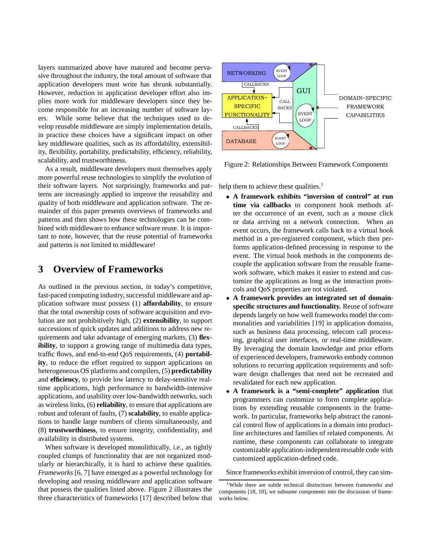layers summarized above have matured and become pervasive throughout the industry, the total amount of software that application developers must write has shrunk substantially. However, reduction in application developer effort also implies more work for middleware developers since they become responsible for an increasing number of software layers. While some believe that the techniques used to develop reusable middleware are simply implementation details, in practice these choices have a significant impact on other key middleware qualities, such as its affordability, extensibility, flexibility, portability, predictability, efficiency, reliability, scalability, and trustworthiness.

As a result, middleware developers must themselves apply more powerful reuse technologies to simplify the evolution of their software layers. Not surprisingly, frameworks and patterns are increasingly applied to improve the reusability and quality of both middleware and application software. The remainder of this paper presents overviews of frameworks and patterns and then shows how these technologies can be combined with middleware to enhance software reuse. It is important to note, however, that the reuse potential of frameworks and patterns is *not* limited to middleware!

### **3 Overview of Frameworks**

As outlined in the previous section, in today's competitive, fast-paced computing industry, successful middleware and application software must possess (1) **affordability**, to ensure that the total ownership costs of software acquisition and evolution are not prohibitively high, (2) **extensibility**, to support successions of quick updates and additions to address new requirements and take advantage of emerging markets, (3) **flexibility**, to support a growing range of multimedia data types, traffic flows, and end-to-end QoS requirements, (4) **portability**, to reduce the effort required to support applications on heterogeneous OS platforms and compilers, (5) **predictability** and **efficiency**, to provide low latency to delay-sensitive realtime applications, high performance to bandwidth-intensive applications, and usability over low-bandwidth networks, such as wireless links, (6) **reliability**, to ensure that applications are robust and tolerant of faults, (7) **scalability**, to enable applications to handle large numbers of clients simultaneously, and (8) **trustworthiness**, to ensure integrity, confidentiality, and availability in distributed systems.

When software is developed monolithically, *i.e.*, as tightly coupled clumps of functionality that are not organized modularly or hierarchically, it is hard to achieve these qualities. *Frameworks* [6, 7] have emerged as a powerful technology for developing and reusing middleware and application software that possess the qualities listed above. Figure 2 illustrates the three characteristics of frameworks [17] described below that



Figure 2: Relationships Between Framework Components

help them to achieve these qualities.<sup>1</sup>

- **A framework exhibits "inversion of control" at run time via callbacks** to component hook methods after the occurrence of an event, such as a mouse click or data arriving on a network connection. When an event occurs, the framework calls back to a virtual hook method in a pre-registered component, which then performs application-defined processing in response to the event. The virtual hook methods in the components decouple the application software from the reusable framework software, which makes it easier to extend and customize the applications as long as the interaction protocols and QoS properties are not violated.
- **A framework provides an integrated set of domainspecific structures and functionality.** Reuse of software depends largely on how well frameworks model the commonalities and variabilities [19] in application domains, such as business data processing, telecom call processing, graphical user interfaces, or real-time middleware. By leveraging the domain knowledge and prior efforts of experienced developers, frameworks embody common solutions to recurring application requirements and software design challenges that need not be recreated and revalidated for each new application.
- **A framework is a "semi-complete" application** that programmers can customize to form complete applications by extending reusable components in the framework. In particular, frameworks help abstract the canonical control flow of applications in a domain into productline architectures and families of related components. At runtime, these components can collaborate to integrate customizable application-independent reusable code with customized application-defined code.

Since frameworks exhibit inversion of control, they can sim-

<sup>&</sup>lt;sup>1</sup>While there are subtle technical distinctions between frameworks and components [18, 10], we subsume components into the discussion of frameworks below.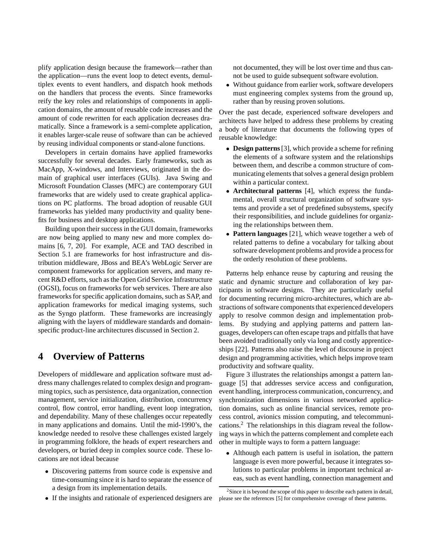plify application design because the framework—rather than the application—runs the event loop to detect events, demultiplex events to event handlers, and dispatch hook methods on the handlers that process the events. Since frameworks reify the key roles and relationships of components in application domains, the amount of reusable code increases and the amount of code rewritten for each application decreases dramatically. Since a framework is a semi-complete application, it enables larger-scale reuse of software than can be achieved by reusing individual components or stand-alone functions.

Developers in certain domains have applied frameworks successfully for several decades. Early frameworks, such as MacApp, X-windows, and Interviews, originated in the domain of graphical user interfaces (GUIs). Java Swing and Microsoft Foundation Classes (MFC) are contemporary GUI frameworks that are widely used to create graphical applications on PC platforms. The broad adoption of reusable GUI frameworks has yielded many productivity and quality benefits for business and desktop applications.

Building upon their success in the GUI domain, frameworks are now being applied to many new and more complex domains [6, 7, 20]. For example, ACE and TAO described in Section 5.1 are frameworks for host infrastructure and distribution middleware, JBoss and BEA's WebLogic Server are component frameworks for application servers, and many recent R&D efforts, such as the Open Grid Service Infrastructure (OGSI), focus on frameworks for web services. There are also frameworks for specific application domains, such as SAP, and application frameworks for medical imaging systems, such as the Syngo platform. These frameworks are increasingly aligning with the layers of middleware standards and domainspecific product-line architectures discussed in Section 2.

### **4 Overview of Patterns**

Developers of middleware and application software must address many challenges related to complex design and programming topics, such as persistence, data organization, connection management, service initialization, distribution, concurrency control, flow control, error handling, event loop integration, and dependability. Many of these challenges occur repeatedly in many applications and domains. Until the mid-1990's, the knowledge needed to resolve these challenges existed largely in programming folklore, the heads of expert researchers and developers, or buried deep in complex source code. These locations are not ideal because

- Discovering patterns from source code is expensive and time-consuming since it is hard to separate the essence of a design from its implementation details.
- If the insights and rationale of experienced designers are

not documented, they will be lost over time and thus cannot be used to guide subsequent software evolution.

 Without guidance from earlier work, software developers must engineering complex systems from the ground up, rather than by reusing proven solutions.

Over the past decade, experienced software developers and architects have helped to address these problems by creating a body of literature that documents the following types of reusable knowledge:

- **Design patterns**[3], which provide a scheme for refining the elements of a software system and the relationships between them, and describe a common structure of communicating elements that solves a general design problem within a particular context.
- **Architectural patterns** [4], which express the fundamental, overall structural organization of software systems and provide a set of predefined subsystems, specify their responsibilities, and include guidelines for organizing the relationships between them.
- **Pattern languages** [21], which weave together a web of related patterns to define a vocabulary for talking about software development problems and provide a process for the orderly resolution of these problems.

Patterns help enhance reuse by capturing and reusing the static and dynamic structure and collaboration of key participants in software designs. They are particularly useful for documenting recurring micro-architectures, which are abstractions of software components that experienced developers apply to resolve common design and implementation problems. By studying and applying patterns and pattern languages, developers can often escape traps and pitfalls that have been avoided traditionally only via long and costly apprenticeships [22]. Patterns also raise the level of discourse in project design and programming activities, which helps improve team productivity and software quality.

Figure 3 illustrates the relationships amongst a pattern language [5] that addresses service access and configuration, event handling, interprocess communication, concurrency, and synchronization dimensions in various networked application domains, such as online financial services, remote process control, avionics mission computing, and telecommunications.2 The relationships in this diagram reveal the following ways in which the patterns complement and complete each other in multiple ways to form a pattern language:

 Although each pattern is useful in isolation, the pattern language is even more powerful, because it integrates solutions to particular problems in important technical areas, such as event handling, connection management and

 $2$ Since it is beyond the scope of this paper to describe each pattern in detail, please see the references [5] for comprehensive coverage of these patterns.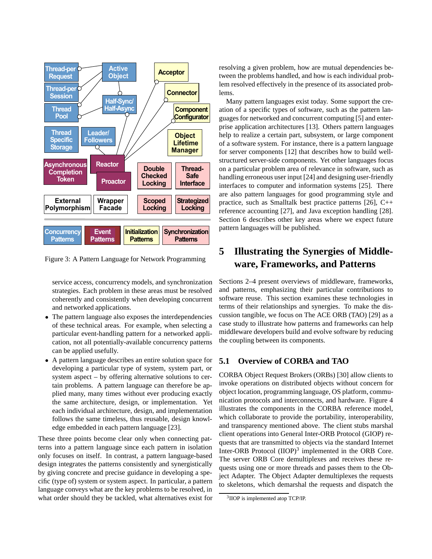

Figure 3: A Pattern Language for Network Programming

service access, concurrency models, and synchronization strategies. Each problem in these areas must be resolved coherently and consistently when developing concurrent and networked applications.

- The pattern language also exposes the interdependencies of these technical areas. For example, when selecting a particular event-handling pattern for a networked application, not all potentially-available concurrency patterns can be applied usefully.
- A pattern language describes an entire solution space for developing a particular type of system, system part, or system aspect – by offering alternative solutions to certain problems. A pattern language can therefore be applied many, many times without ever producing exactly the same architecture, design, or implementation. Yet each individual architecture, design, and implementation follows the same timeless, thus reusable, design knowledge embedded in each pattern language [23].

These three points become clear only when connecting patterns into a pattern language since each pattern in isolation only focuses on itself. In contrast, a pattern language-based design integrates the patterns consistently and synergistically by giving concrete and precise guidance in developing a specific (type of) system or system aspect. In particular, a pattern language conveys what are the key problems to be resolved, in what order should they be tackled, what alternatives exist for resolving a given problem, how are mutual dependencies between the problems handled, and how is each individual problem resolved effectively in the presence of its associated problems.

Many pattern languages exist today. Some support the creation of a specific types of software, such as the pattern languages for networked and concurrent computing [5] and enterprise application architectures [13]. Others pattern languages help to realize a certain part, subsystem, or large component of a software system. For instance, there is a pattern language for server components [12] that describes how to build wellstructured server-side components. Yet other languages focus on a particular problem area of relevance in software, such as handling erroneous user input [24] and designing user-friendly interfaces to computer and information systems [25]. There are also pattern languages for good programming style and practice, such as Smalltalk best practice patterns [26], C++ reference accounting [27], and Java exception handling [28]. Section 6 describes other key areas where we expect future pattern languages will be published.

# **5 Illustrating the Synergies of Middleware, Frameworks, and Patterns**

Sections 2–4 present overviews of middleware, frameworks, and patterns, emphasizing their particular contributions to software reuse. This section examines these technologies in terms of their relationships and synergies. To make the discussion tangible, we focus on The ACE ORB (TAO) [29] as a case study to illustrate how patterns and frameworks can help middleware developers build and evolve software by reducing the coupling between its components.

#### **5.1 Overview of CORBA and TAO**

CORBA Object Request Brokers (ORBs) [30] allow clients to invoke operations on distributed objects without concern for object location, programming language, OS platform, communication protocols and interconnects, and hardware. Figure 4 illustrates the components in the CORBA reference model, which collaborate to provide the portability, interoperability, and transparency mentioned above. The client stubs marshal client operations into General Inter-ORB Protocol (GIOP) requests that are transmitted to objects via the standard Internet Inter-ORB Protocol (IIOP)<sup>3</sup> implemented in the ORB Core. The server ORB Core demultiplexes and receives these requests using one or more threads and passes them to the Object Adapter. The Object Adapter demultiplexes the requests to skeletons, which demarshal the requests and dispatch the

<sup>3</sup>IIOP is implemented atop TCP/IP.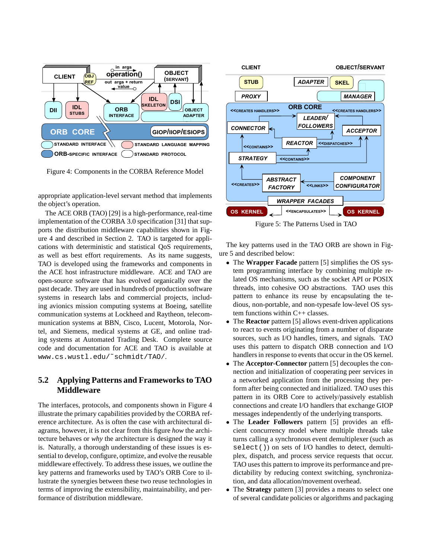

Figure 4: Components in the CORBA Reference Model

appropriate application-level servant method that implements the object's operation.

The ACE ORB (TAO) [29] is a high-performance, real-time implementation of the CORBA 3.0 specification [31] that supports the distribution middleware capabilities shown in Figure 4 and described in Section 2. TAO is targeted for applications with deterministic and statistical QoS requirements, as well as best effort requirements. As its name suggests, TAO is developed using the frameworks and components in the ACE host infrastructure middleware. ACE and TAO are open-source software that has evolved organically over the past decade. They are used in hundreds of production software systems in research labs and commercial projects, including avionics mission computing systems at Boeing, satellite communication systems at Lockheed and Raytheon, telecommunication systems at BBN, Cisco, Lucent, Motorola, Nortel, and Siemens, medical systems at GE, and online trading systems at Automated Trading Desk. Complete source code and documentation for ACE and TAO is available at www.cs.wustl.edu/˜schmidt/TAO/.

#### **5.2 Applying Patterns and Frameworks to TAO Middleware**

The interfaces, protocols, and components shown in Figure 4 illustrate the primary capabilities provided by the CORBA reference architecture. As is often the case with architectural diagrams, however, it is not clear from this figure *how* the architecture behaves or *why* the architecture is designed the way it is. Naturally, a thorough understanding of these issues is essential to develop, configure, optimize, and evolve the reusable middleware effectively. To address these issues, we outline the key patterns and frameworks used by TAO's ORB Core to illustrate the synergies between these two reuse technologies in terms of improving the extensibility, maintainability, and performance of distribution middleware.



Figure 5: The Patterns Used in TAO

The key patterns used in the TAO ORB are shown in Figure 5 and described below:

- The **Wrapper Facade** pattern [5] simplifies the OS system programming interface by combining multiple related OS mechanisms, such as the socket API or POSIX threads, into cohesive OO abstractions. TAO uses this pattern to enhance its reuse by encapsulating the tedious, non-portable, and non-typesafe low-level OS system functions within C++ classes.
- The **Reactor** pattern [5] allows event-driven applications to react to events originating from a number of disparate sources, such as I/O handles, timers, and signals. TAO uses this pattern to dispatch ORB connection and I/O handlers in response to events that occur in the OS kernel.
- The **Acceptor-Connector** pattern [5] decouples the connection and initialization of cooperating peer services in a networked application from the processing they perform after being connected and initialized. TAO uses this pattern in its ORB Core to actively/passively establish connections and create I/O handlers that exchange GIOP messages independently of the underlying transports.
- The **Leader Followers** pattern [5] provides an efficient concurrency model where multiple threads take turns calling a synchronous event demultiplexer (such as select()) on sets of I/O handles to detect, demultiplex, dispatch, and process service requests that occur. TAO uses this pattern to improve its performance and predictability by reducing context switching, synchronization, and data allocation/movement overhead.
- The **Strategy** pattern [3] provides a means to select one of several candidate policies or algorithms and packaging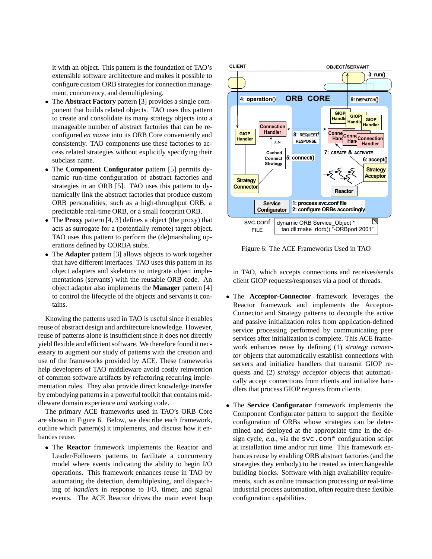it with an object. This pattern is the foundation of TAO's extensible software architecture and makes it possible to configure custom ORB strategies for connection management, concurrency, and demultiplexing.

- The **Abstract Factory** pattern [3] provides a single component that builds related objects. TAO uses this pattern to create and consolidate its many strategy objects into a manageable number of abstract factories that can be reconfigured *en masse* into its ORB Core conveniently and consistently. TAO components use these factories to access related strategies without explicitly specifying their subclass name.
- The **Component Configurator** pattern [5] permits dynamic run-time configuration of abstract factories and strategies in an ORB [5]. TAO uses this pattern to dynamically link the abstract factories that produce custom ORB personalities, such as a high-throughput ORB, a predictable real-time ORB, or a small footprint ORB.
- The **Proxy** pattern [4, 3] defines a object (the proxy) that acts as surrogate for a (potentially remote) target object. TAO uses this pattern to perform the (de)marshaling operations defined by CORBA stubs.
- The **Adapter** pattern [3] allows objects to work together that have different interfaces. TAO uses this pattern in its object adapters and skeletons to integrate object implementations (servants) with the reusable ORB code. An object adapter also implements the **Manager** pattern [4] to control the lifecycle of the objects and servants it contains.

Knowing the patterns used in TAO is useful since it enables reuse of abstract design and architecture knowledge. However, reuse of patterns alone is insufficient since it does not directly yield flexible and efficient software. We therefore found it necessary to augment our study of patterns with the creation and use of the frameworks provided by ACE. These frameworks help developers of TAO middleware avoid costly reinvention of common software artifacts by refactoring recurring implementation roles. They also provide direct knowledge transfer by embodying patterns in a powerful toolkit that contains middleware domain experience *and* working code.

The primary ACE frameworks used in TAO's ORB Core are shown in Figure 6. Below, we describe each framework, outline which pattern(s) it implements, and discuss how it enhances reuse.

 The **Reactor** framework implements the Reactor and Leader/Followers patterns to facilitate a concurrency model where events indicating the ability to begin I/O operations. This framework enhances reuse in TAO by automating the detection, demultiplexing, and dispatching of *handlers* in response to I/O, timer, and signal events. The ACE Reactor drives the main event loop



Figure 6: The ACE Frameworks Used in TAO

in TAO, which accepts connections and receives/sends client GIOP requests/responses via a pool of threads.

- The **Acceptor-Connector** framework leverages the Reactor framework and implements the Acceptor-Connector and Strategy patterns to decouple the active and passive initialization roles from application-defined service processing performed by communicating peer services after initialization is complete. This ACE framework enhances reuse by defining (1) *strategy connector* objects that automatically establish connections with servers and initialize handlers that transmit GIOP requests and (2) *strategy acceptor* objects that automatically accept connections from clients and initialize handlers that process GIOP requests from clients.
- The **Service Configurator** framework implements the Component Configurator pattern to support the flexible configuration of ORBs whose strategies can be determined and deployed at the appropriate time in the design cycle, *e.g.*, via the svc.conf configuration script at installation time and/or run time. This framework enhances reuse by enabling ORB abstract factories (and the strategies they embody) to be treated as interchangeable building blocks. Software with high availability requirements, such as online transaction processing or real-time industrial process automation, often require these flexible configuration capabilities.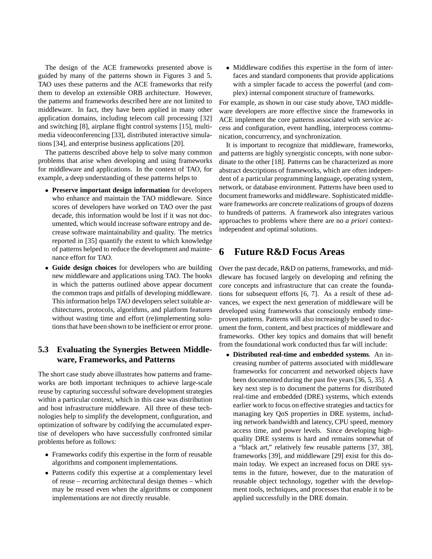The design of the ACE frameworks presented above is guided by many of the patterns shown in Figures 3 and 5. TAO uses these patterns and the ACE frameworks that reify them to develop an extensible ORB architecture. However, the patterns and frameworks described here are not limited to middleware. In fact, they have been applied in many other application domains, including telecom call processing [32] and switching [8], airplane flight control systems [15], multimedia videoconferencing [33], distributed interactive simulations [34], and enterprise business applications [20].

The patterns described above help to solve many common problems that arise when developing and using frameworks for middleware and applications. In the context of TAO, for example, a deep understanding of these patterns helps to

- **Preserve important design information** for developers who enhance and maintain the TAO middleware. Since scores of developers have worked on TAO over the past decade, this information would be lost if it was not documented, which would increase software entropy and decrease software maintainability and quality. The metrics reported in [35] quantify the extent to which knowledge of patterns helped to reduce the development and maintenance effort for TAO.
- **Guide design choices** for developers who are building new middleware and applications using TAO. The books in which the patterns outlined above appear document the common traps and pitfalls of developing middleware. This information helps TAO developers select suitable architectures, protocols, algorithms, and platform features without wasting time and effort (re)implementing solutions that have been shown to be inefficient or error prone.

#### **5.3 Evaluating the Synergies Between Middleware, Frameworks, and Patterns**

The short case study above illustrates how patterns and frameworks are both important techniques to achieve large-scale reuse by capturing successful software development strategies within a particular context, which in this case was distribution and host infrastructure middleware. All three of these technologies help to simplify the development, configuration, and optimization of software by codifying the accumulated expertise of developers who have successfully confronted similar problems before as follows:

- Frameworks codify this expertise in the form of reusable algorithms and component implementations.
- Patterns codify this expertise at a complementary level of reuse – recurring architectural design themes – which may be reused even when the algorithms or component implementations are not directly reusable.

• Middleware codifies this expertise in the form of interfaces and standard components that provide applications with a simpler facade to access the powerful (and complex) internal component structure of frameworks.

For example, as shown in our case study above, TAO middleware developers are more effective since the frameworks in ACE implement the core patterns associated with service access and configuration, event handling, interprocess communication, concurrency, and synchronization.

It is important to recognize that middleware, frameworks, and patterns are highly synergistic concepts, with none subordinate to the other [18]. Patterns can be characterized as more abstract descriptions of frameworks, which are often independent of a particular programming language, operating system, network, or database environment. Patterns have been used to document frameworks and middleware. Sophisticated middleware frameworks are concrete realizations of groups of dozens to hundreds of patterns. A framework also integrates various approaches to problems where there are no *a priori* contextindependent and optimal solutions.

## **6 Future R&D Focus Areas**

Over the past decade, R&D on patterns, frameworks, and middleware has focused largely on developing and refining the core concepts and infrastructure that can create the foundations for subsequent efforts [6, 7]. As a result of these advances, we expect the next generation of middleware will be developed using frameworks that consciously embody timeproven patterns. Patterns will also increasingly be used to document the form, content, and best practices of middleware and frameworks. Other key topics and domains that will benefit from the foundational work conducted thus far will include:

 **Distributed real-time and embedded systems**. An increasing number of patterns associated with middleware frameworks for concurrent and networked objects have been documented during the past five years [36, 5, 35]. A key next step is to document the patterns for distributed real-time and embedded (DRE) systems, which extends earlier work to focus on effective strategies and tactics for managing key QoS properties in DRE systems, including network bandwidth and latency, CPU speed, memory access time, and power levels. Since developing highquality DRE systems is hard and remains somewhat of a "black art," relatively few reusable patterns [37, 38], frameworks [39], and middleware [29] exist for this domain today. We expect an increased focus on DRE systems in the future, however, due to the maturation of reusable object technology, together with the development tools, techniques, and processes that enable it to be applied successfully in the DRE domain.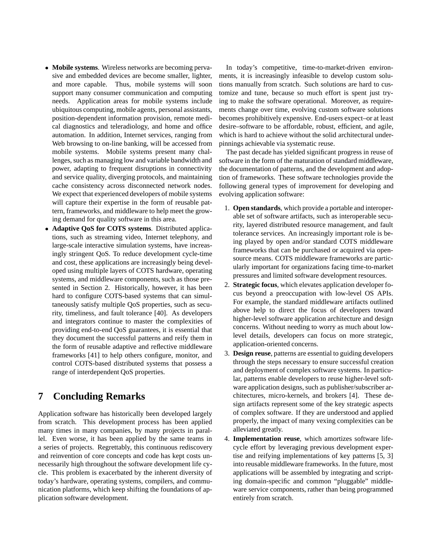- **Mobile systems**. Wireless networks are becoming pervasive and embedded devices are become smaller, lighter, and more capable. Thus, mobile systems will soon support many consumer communication and computing needs. Application areas for mobile systems include ubiquitous computing, mobile agents, personal assistants, position-dependent information provision, remote medical diagnostics and teleradiology, and home and office automation. In addition, Internet services, ranging from Web browsing to on-line banking, will be accessed from mobile systems. Mobile systems present many challenges, such as managing low and variable bandwidth and power, adapting to frequent disruptions in connectivity and service quality, diverging protocols, and maintaining cache consistency across disconnected network nodes. We expect that experienced developers of mobile systems will capture their expertise in the form of reusable pattern, frameworks, and middleware to help meet the growing demand for quality software in this area.
- **Adaptive QoS for COTS systems**. Distributed applications, such as streaming video, Internet telephony, and large-scale interactive simulation systems, have increasingly stringent QoS. To reduce development cycle-time and cost, these applications are increasingly being developed using multiple layers of COTS hardware, operating systems, and middleware components, such as those presented in Section 2. Historically, however, it has been hard to configure COTS-based systems that can simultaneously satisfy multiple QoS properties, such as security, timeliness, and fault tolerance [40]. As developers and integrators continue to master the complexities of providing end-to-end QoS guarantees, it is essential that they document the successful patterns and reify them in the form of reusable adaptive and reflective middleware frameworks [41] to help others configure, monitor, and control COTS-based distributed systems that possess a range of interdependent QoS properties.

## **7 Concluding Remarks**

Application software has historically been developed largely from scratch. This development process has been applied many times in many companies, by many projects in parallel. Even worse, it has been applied by the same teams in a series of projects. Regrettably, this continuous rediscovery and reinvention of core concepts and code has kept costs unnecessarily high throughout the software development life cycle. This problem is exacerbated by the inherent diversity of today's hardware, operating systems, compilers, and communication platforms, which keep shifting the foundations of application software development.

In today's competitive, time-to-market-driven environments, it is increasingly infeasible to develop custom solutions manually from scratch. Such solutions are hard to customize and tune, because so much effort is spent just trying to make the software operational. Moreover, as requirements change over time, evolving custom software solutions becomes prohibitively expensive. End-users expect–or at least desire–software to be affordable, robust, efficient, and agile, which is hard to achieve without the solid architectural underpinnings achievable via systematic reuse.

The past decade has yielded significant progress in reuse of software in the form of the maturation of standard middleware, the documentation of patterns, and the development and adoption of frameworks. These software technologies provide the following general types of improvement for developing and evolving application software:

- 1. **Open standards**, which provide a portable and interoperable set of software artifacts, such as interoperable security, layered distributed resource management, and fault tolerance services. An increasingly important role is being played by open and/or standard COTS middleware frameworks that can be purchased or acquired via opensource means. COTS middleware frameworks are particularly important for organizations facing time-to-market pressures and limited software development resources.
- 2. **Strategic focus**, which elevates application developer focus beyond a preoccupation with low-level OS APIs. For example, the standard middleware artifacts outlined above help to direct the focus of developers toward higher-level software application architecture and design concerns. Without needing to worry as much about lowlevel details, developers can focus on more strategic, application-oriented concerns.
- 3. **Design reuse**, patterns are essential to guiding developers through the steps necessary to ensure successful creation and deployment of complex software systems. In particular, patterns enable developers to reuse higher-level software application designs, such as publisher/subscriber architectures, micro-kernels, and brokers [4]. These design artifacts represent some of the key strategic aspects of complex software. If they are understood and applied properly, the impact of many vexing complexities can be alleviated greatly.
- 4. **Implementation reuse**, which amortizes software lifecycle effort by leveraging previous development expertise and reifying implementations of key patterns [5, 3] into reusable middleware frameworks. In the future, most applications will be assembled by integrating and scripting domain-specific and common "pluggable" middleware service components, rather than being programmed entirely from scratch.